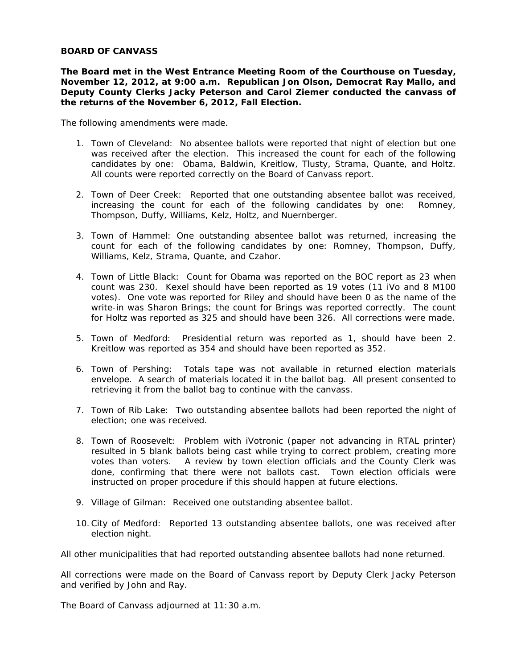**The Board met in the West Entrance Meeting Room of the Courthouse on Tuesday, November 12, 2012, at 9:00 a.m. Republican Jon Olson, Democrat Ray Mallo, and Deputy County Clerks Jacky Peterson and Carol Ziemer conducted the canvass of the returns of the November 6, 2012, Fall Election.** 

The following amendments were made.

- 1. Town of Cleveland: No absentee ballots were reported that night of election but one was received after the election. This increased the count for each of the following candidates by one: Obama, Baldwin, Kreitlow, Tlusty, Strama, Quante, and Holtz. All counts were reported correctly on the Board of Canvass report.
- 2. Town of Deer Creek: Reported that one outstanding absentee ballot was received, increasing the count for each of the following candidates by one: Romney, Thompson, Duffy, Williams, Kelz, Holtz, and Nuernberger.
- 3. Town of Hammel: One outstanding absentee ballot was returned, increasing the count for each of the following candidates by one: Romney, Thompson, Duffy, Williams, Kelz, Strama, Quante, and Czahor.
- 4. Town of Little Black: Count for Obama was reported on the BOC report as 23 when count was 230. Kexel should have been reported as 19 votes (11 iVo and 8 M100 votes). One vote was reported for Riley and should have been 0 as the name of the write-in was Sharon Brings; the count for Brings was reported correctly. The count for Holtz was reported as 325 and should have been 326. All corrections were made.
- 5. Town of Medford: Presidential return was reported as 1, should have been 2. Kreitlow was reported as 354 and should have been reported as 352.
- 6. Town of Pershing: Totals tape was not available in returned election materials envelope. A search of materials located it in the ballot bag. All present consented to retrieving it from the ballot bag to continue with the canvass.
- 7. Town of Rib Lake: Two outstanding absentee ballots had been reported the night of election; one was received.
- 8. Town of Roosevelt: Problem with iVotronic (paper not advancing in RTAL printer) resulted in 5 blank ballots being cast while trying to correct problem, creating more votes than voters. A review by town election officials and the County Clerk was done, confirming that there were not ballots cast. Town election officials were instructed on proper procedure if this should happen at future elections.
- 9. Village of Gilman: Received one outstanding absentee ballot.
- 10.City of Medford: Reported 13 outstanding absentee ballots, one was received after election night.

All other municipalities that had reported outstanding absentee ballots had none returned.

All corrections were made on the Board of Canvass report by Deputy Clerk Jacky Peterson and verified by John and Ray.

The Board of Canvass adjourned at 11:30 a.m.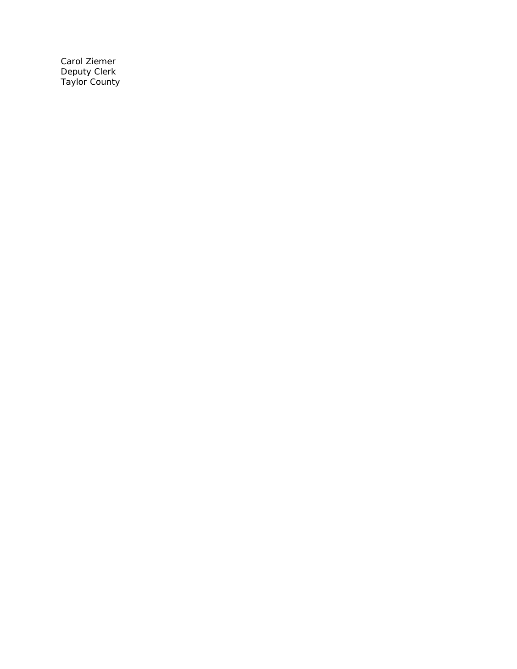Carol Ziemer Deputy Clerk Taylor County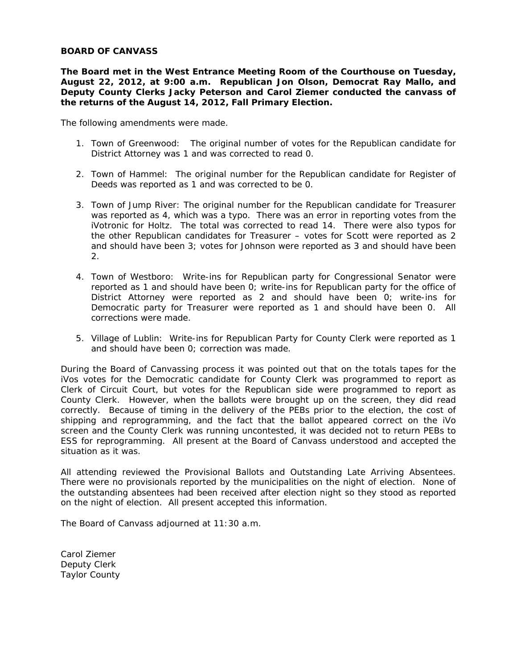**The Board met in the West Entrance Meeting Room of the Courthouse on Tuesday, August 22, 2012, at 9:00 a.m. Republican Jon Olson, Democrat Ray Mallo, and Deputy County Clerks Jacky Peterson and Carol Ziemer conducted the canvass of the returns of the August 14, 2012, Fall Primary Election.** 

The following amendments were made.

- 1. Town of Greenwood: The original number of votes for the Republican candidate for District Attorney was 1 and was corrected to read 0.
- 2. Town of Hammel: The original number for the Republican candidate for Register of Deeds was reported as 1 and was corrected to be 0.
- 3. Town of Jump River: The original number for the Republican candidate for Treasurer was reported as 4, which was a typo. There was an error in reporting votes from the iVotronic for Holtz. The total was corrected to read 14. There were also typos for the other Republican candidates for Treasurer – votes for Scott were reported as 2 and should have been 3; votes for Johnson were reported as 3 and should have been 2.
- 4. Town of Westboro: Write-ins for Republican party for Congressional Senator were reported as 1 and should have been 0; write-ins for Republican party for the office of District Attorney were reported as 2 and should have been 0; write-ins for Democratic party for Treasurer were reported as 1 and should have been 0. All corrections were made.
- 5. Village of Lublin: Write-ins for Republican Party for County Clerk were reported as 1 and should have been 0; correction was made.

During the Board of Canvassing process it was pointed out that on the totals tapes for the iVos votes for the Democratic candidate for County Clerk was programmed to report as Clerk of Circuit Court, but votes for the Republican side were programmed to report as County Clerk. However, when the ballots were brought up on the screen, they did read correctly. Because of timing in the delivery of the PEBs prior to the election, the cost of shipping and reprogramming, and the fact that the ballot appeared correct on the iVo screen and the County Clerk was running uncontested, it was decided not to return PEBs to ESS for reprogramming. All present at the Board of Canvass understood and accepted the situation as it was.

All attending reviewed the Provisional Ballots and Outstanding Late Arriving Absentees. There were no provisionals reported by the municipalities on the night of election. None of the outstanding absentees had been received after election night so they stood as reported on the night of election. All present accepted this information.

The Board of Canvass adjourned at 11:30 a.m.

Carol Ziemer Deputy Clerk Taylor County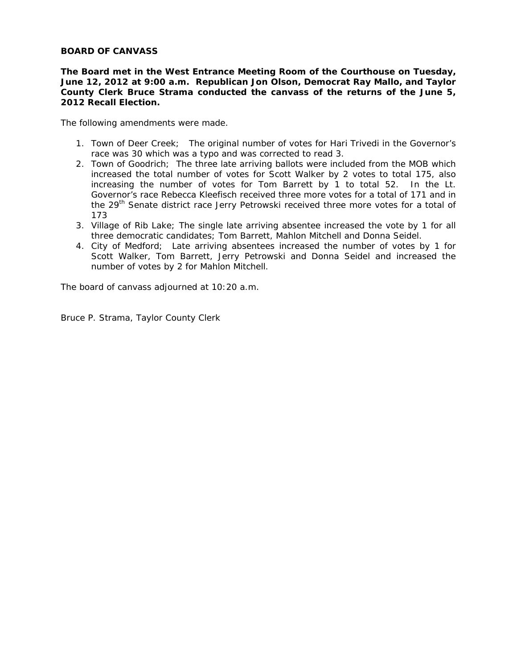**The Board met in the West Entrance Meeting Room of the Courthouse on Tuesday, June 12, 2012 at 9:00 a.m. Republican Jon Olson, Democrat Ray Mallo, and Taylor County Clerk Bruce Strama conducted the canvass of the returns of the June 5, 2012 Recall Election.** 

The following amendments were made.

- 1. Town of Deer Creek; The original number of votes for Hari Trivedi in the Governor's race was 30 which was a typo and was corrected to read 3.
- 2. Town of Goodrich; The three late arriving ballots were included from the MOB which increased the total number of votes for Scott Walker by 2 votes to total 175, also increasing the number of votes for Tom Barrett by 1 to total 52. In the Lt. Governor's race Rebecca Kleefisch received three more votes for a total of 171 and in the 29<sup>th</sup> Senate district race Jerry Petrowski received three more votes for a total of 173
- 3. Village of Rib Lake; The single late arriving absentee increased the vote by 1 for all three democratic candidates; Tom Barrett, Mahlon Mitchell and Donna Seidel.
- 4. City of Medford; Late arriving absentees increased the number of votes by 1 for Scott Walker, Tom Barrett, Jerry Petrowski and Donna Seidel and increased the number of votes by 2 for Mahlon Mitchell.

The board of canvass adjourned at 10:20 a.m.

Bruce P. Strama, Taylor County Clerk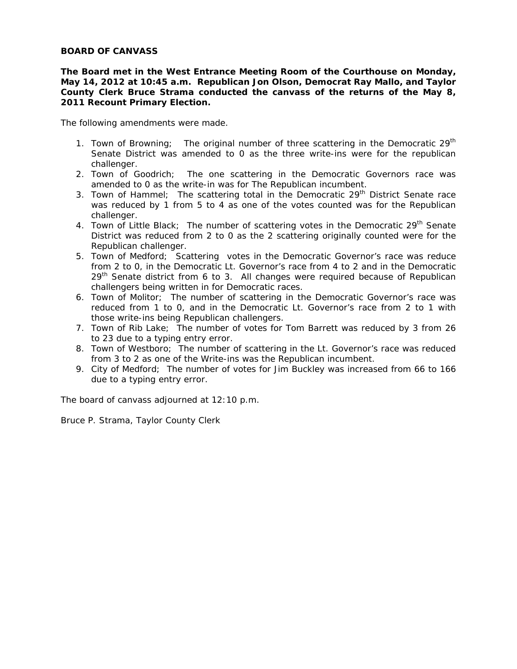**The Board met in the West Entrance Meeting Room of the Courthouse on Monday, May 14, 2012 at 10:45 a.m. Republican Jon Olson, Democrat Ray Mallo, and Taylor County Clerk Bruce Strama conducted the canvass of the returns of the May 8, 2011 Recount Primary Election.** 

The following amendments were made.

- 1. Town of Browning; The original number of three scattering in the Democratic  $29<sup>th</sup>$ Senate District was amended to 0 as the three write-ins were for the republican challenger.
- 2. Town of Goodrich; The one scattering in the Democratic Governors race was amended to 0 as the write-in was for The Republican incumbent.
- 3. Town of Hammel; The scattering total in the Democratic  $29<sup>th</sup>$  District Senate race was reduced by 1 from 5 to 4 as one of the votes counted was for the Republican challenger.
- 4. Town of Little Black; The number of scattering votes in the Democratic 29<sup>th</sup> Senate District was reduced from 2 to 0 as the 2 scattering originally counted were for the Republican challenger.
- 5. Town of Medford; Scattering votes in the Democratic Governor's race was reduce from 2 to 0, in the Democratic Lt. Governor's race from 4 to 2 and in the Democratic 29<sup>th</sup> Senate district from 6 to 3. All changes were required because of Republican challengers being written in for Democratic races.
- 6. Town of Molitor; The number of scattering in the Democratic Governor's race was reduced from 1 to 0, and in the Democratic Lt. Governor's race from 2 to 1 with those write-ins being Republican challengers.
- 7. Town of Rib Lake; The number of votes for Tom Barrett was reduced by 3 from 26 to 23 due to a typing entry error.
- 8. Town of Westboro; The number of scattering in the Lt. Governor's race was reduced from 3 to 2 as one of the Write-ins was the Republican incumbent.
- 9. City of Medford; The number of votes for Jim Buckley was increased from 66 to 166 due to a typing entry error.

The board of canvass adjourned at 12:10 p.m.

Bruce P. Strama, Taylor County Clerk